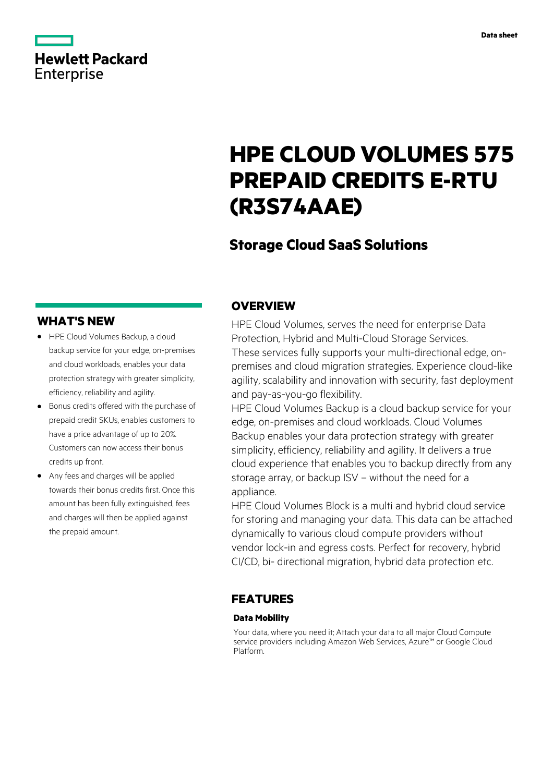# **Hewlett Packard** Enterprise

# **HPE CLOUD VOLUMES 575 PREPAID CREDITS E-RTU (R3S74AAE)**

# **Storage Cloud SaaS Solutions**

## **WHAT'S NEW**

- **·** HPE Cloud Volumes Backup, a cloud backup service for your edge, on-premises and cloud workloads, enables your data protection strategy with greater simplicity, efficiency, reliability and agility.
- **·** Bonus credits offered with the purchase of prepaid credit SKUs, enables customers to have a price advantage of up to 20%. Customers can now access their bonus credits up front.
- **·** Any fees and charges will be applied towards their bonus credits first. Once this amount has been fully extinguished, fees and charges will then be applied against the prepaid amount.

### **OVERVIEW**

HPE Cloud Volumes, serves the need for enterprise Data Protection, Hybrid and Multi-Cloud Storage Services. These services fully supports your multi-directional edge, onpremises and cloud migration strategies. Experience cloud-like agility, scalability and innovation with security, fast deployment and pay-as-you-go flexibility.

HPE Cloud Volumes Backup is a cloud backup service for your edge, on-premises and cloud workloads. Cloud Volumes Backup enables your data protection strategy with greater simplicity, efficiency, reliability and agility. It delivers a true cloud experience that enables you to backup directly from any storage array, or backup ISV – without the need for a appliance.

HPE Cloud Volumes Block is a multi and hybrid cloud service for storing and managing your data. This data can be attached dynamically to various cloud compute providers without vendor lock-in and egress costs. Perfect for recovery, hybrid CI/CD, bi- directional migration, hybrid data protection etc.

### **FEATURES**

#### **Data Mobility**

Your data, where you need it; Attach your data to all major Cloud Compute service providers including Amazon Web Services, Azure™ or Google Cloud Platform.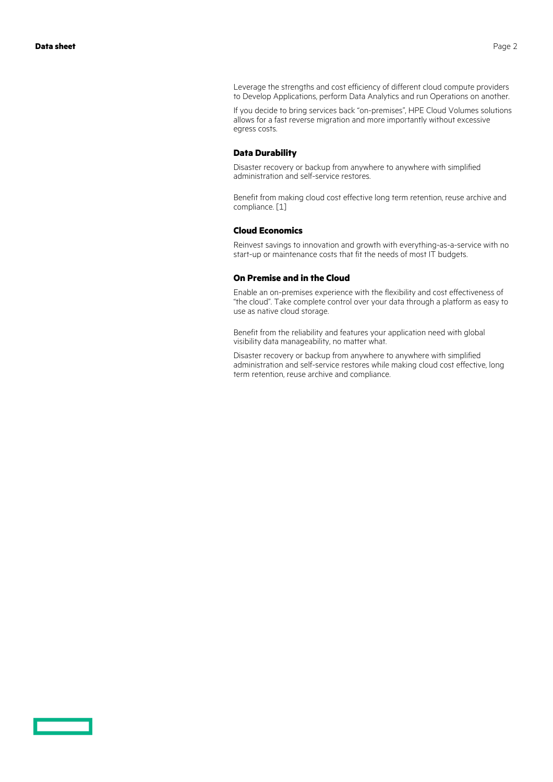Leverage the strengths and cost efficiency of different cloud compute providers to Develop Applications, perform Data Analytics and run Operations on another.

If you decide to bring services back "on-premises", HPE Cloud Volumes solutions allows for a fast reverse migration and more importantly without excessive egress costs.

#### **Data Durability**

Disaster recovery or backup from anywhere to anywhere with simplified administration and self-service restores.

Benefit from making cloud cost effective long term retention, reuse archive and compliance. [1]

#### **Cloud Economics**

Reinvest savings to innovation and growth with everything-as-a-service with no start-up or maintenance costs that fit the needs of most IT budgets.

#### **On Premise and in the Cloud**

Enable an on-premises experience with the flexibility and cost effectiveness of "the cloud". Take complete control over your data through a platform as easy to use as native cloud storage.

Benefit from the reliability and features your application need with global visibility data manageability, no matter what.

Disaster recovery or backup from anywhere to anywhere with simplified administration and self-service restores while making cloud cost effective, long term retention, reuse archive and compliance.